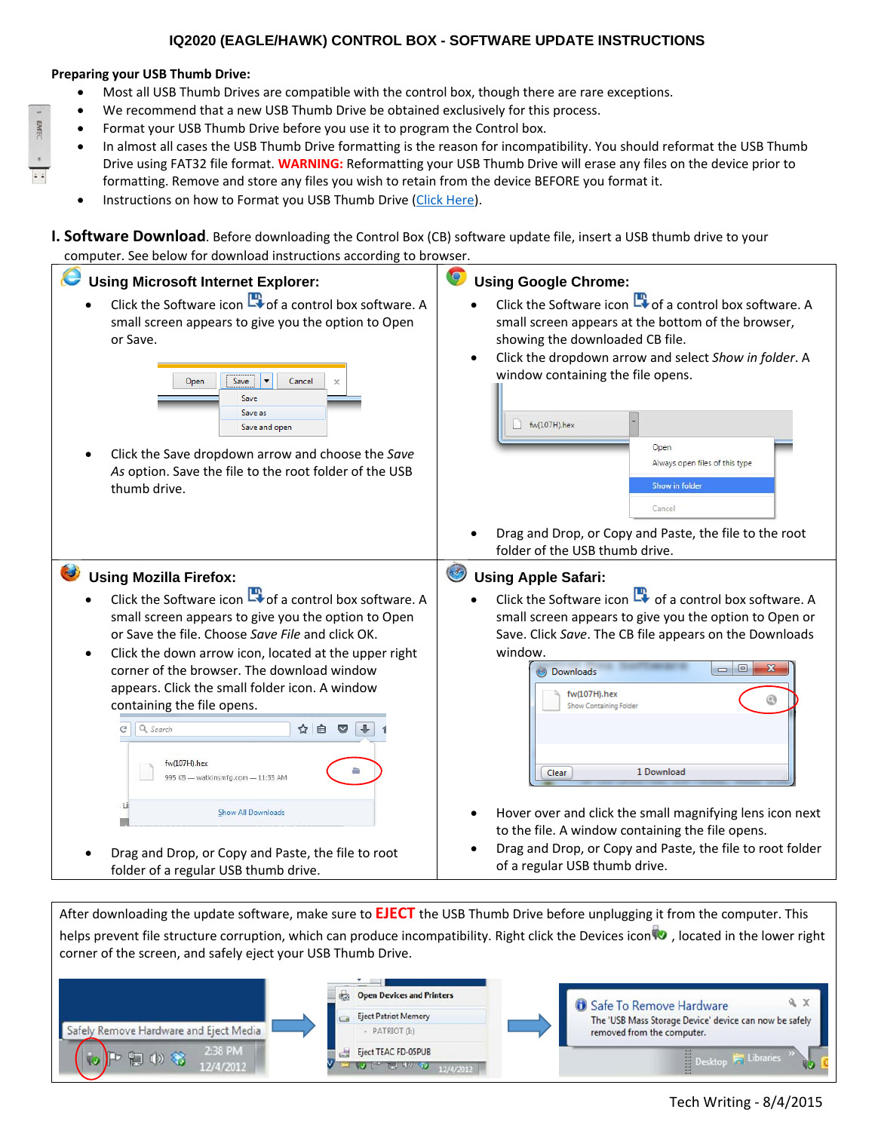## **IQ2020 (EAGLE/HAWK) CONTROL BOX - SOFTWARE UPDATE INSTRUCTIONS**

## **Preparing your USB Thumb Drive:**

- Most all USB Thumb Drives are compatible with the control box, though there are rare exceptions.
- We recommend that a new USB Thumb Drive be obtained exclusively for this process.
- Format your USB Thumb Drive before you use it to program the Control box.
- In almost all cases the USB Thumb Drive formatting is the reason for incompatibility. You should reformat the USB Thumb Drive using FAT32 file format. **WARNING:** Reformatting your USB Thumb Drive will erase any files on the device prior to formatting. Remove and store any files you wish to retain from the device BEFORE you format it.
- Instructions on how to Format you USB Thumb Drive (Click Here).

**I. Software Download**. Before downloading the Control Box (CB) software update file, insert a USB thumb drive to your computer. See below for download instructions according to browser.



After downloading the update software, make sure to **EJECT** the USB Thumb Drive before unplugging it from the computer. This helps prevent file structure corruption, which can produce incompatibility. Right click the Devices icon  $\bullet$ , located in the lower right corner of the screen, and safely eject your USB Thumb Drive.